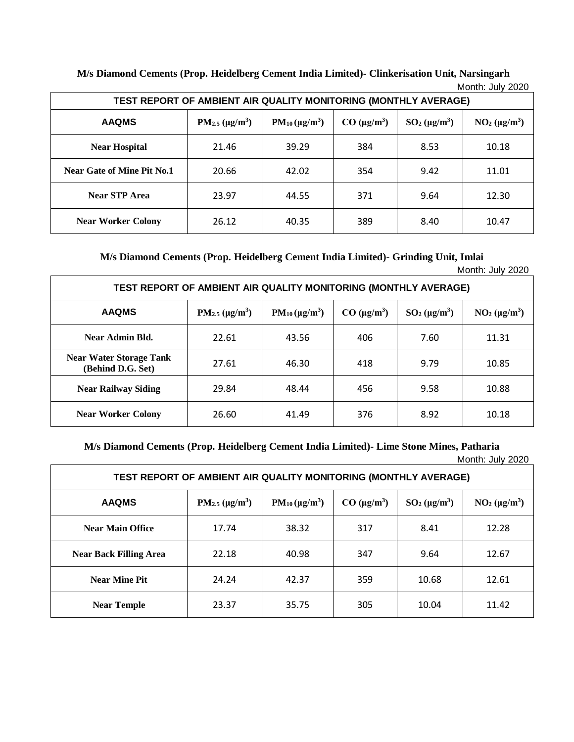| <b>IVIUIIIII. JUIV ZUZU</b><br>TEST REPORT OF AMBIENT AIR QUALITY MONITORING (MONTHLY AVERAGE) |                        |                       |                    |                   |                  |
|------------------------------------------------------------------------------------------------|------------------------|-----------------------|--------------------|-------------------|------------------|
| <b>AAQMS</b>                                                                                   | $PM_{2.5} (\mu g/m^3)$ | $PM_{10} (\mu g/m^3)$ | $CO \ (\mu g/m^3)$ | $SO_2(\mu g/m^3)$ | $NO2 (\mu g/m3)$ |
| <b>Near Hospital</b>                                                                           | 21.46                  | 39.29                 | 384                | 8.53              | 10.18            |
| <b>Near Gate of Mine Pit No.1</b>                                                              | 20.66                  | 42.02                 | 354                | 9.42              | 11.01            |
| <b>Near STP Area</b>                                                                           | 23.97                  | 44.55                 | 371                | 9.64              | 12.30            |
| <b>Near Worker Colony</b>                                                                      | 26.12                  | 40.35                 | 389                | 8.40              | 10.47            |

**M/s Diamond Cements (Prop. Heidelberg Cement India Limited)- Clinkerisation Unit, Narsingarh**  $M$ onth:  $\overline{\phantom{a}}$ luly 2020

**M/s Diamond Cements (Prop. Heidelberg Cement India Limited)- Grinding Unit, Imlai**

Month: July 2020

| TEST REPORT OF AMBIENT AIR QUALITY MONITORING (MONTHLY AVERAGE) |                                              |                       |                    |                            |                  |
|-----------------------------------------------------------------|----------------------------------------------|-----------------------|--------------------|----------------------------|------------------|
| <b>AAQMS</b>                                                    | PM <sub>2.5</sub> ( $\mu$ g/m <sup>3</sup> ) | $PM_{10} (\mu g/m^3)$ | $CO \ (\mu g/m^3)$ | $SO2$ (µg/m <sup>3</sup> ) | $NO2 (\mu g/m3)$ |
| Near Admin Bld.                                                 | 22.61                                        | 43.56                 | 406                | 7.60                       | 11.31            |
| <b>Near Water Storage Tank</b><br>(Behind D.G. Set)             | 27.61                                        | 46.30                 | 418                | 9.79                       | 10.85            |
| <b>Near Railway Siding</b>                                      | 29.84                                        | 48.44                 | 456                | 9.58                       | 10.88            |
| <b>Near Worker Colony</b>                                       | 26.60                                        | 41.49                 | 376                | 8.92                       | 10.18            |

**M/s Diamond Cements (Prop. Heidelberg Cement India Limited)- Lime Stone Mines, Patharia** Month: July 2020

| TEST REPORT OF AMBIENT AIR QUALITY MONITORING (MONTHLY AVERAGE) |                                              |                       |                    |                  |                  |
|-----------------------------------------------------------------|----------------------------------------------|-----------------------|--------------------|------------------|------------------|
| <b>AAQMS</b>                                                    | PM <sub>2.5</sub> ( $\mu$ g/m <sup>3</sup> ) | $PM_{10} (\mu g/m^3)$ | $CO \ (\mu g/m^3)$ | $SO2 (\mu g/m3)$ | $NO2 (\mu g/m3)$ |
| <b>Near Main Office</b>                                         | 17.74                                        | 38.32                 | 317                | 8.41             | 12.28            |
| <b>Near Back Filling Area</b>                                   | 22.18                                        | 40.98                 | 347                | 9.64             | 12.67            |
| <b>Near Mine Pit</b>                                            | 24.24                                        | 42.37                 | 359                | 10.68            | 12.61            |
| <b>Near Temple</b>                                              | 23.37                                        | 35.75                 | 305                | 10.04            | 11.42            |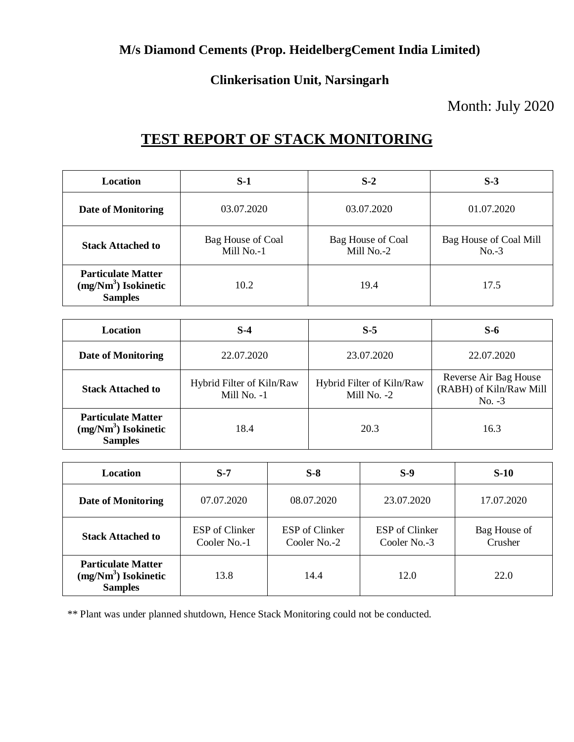### **M/s Diamond Cements (Prop. HeidelbergCement India Limited)**

### **Clinkerisation Unit, Narsingarh**

### Month: July 2020

# **TEST REPORT OF STACK MONITORING**

| <b>Location</b>                                                      | S-1                             | $S-2$                           | $S-3$                             |
|----------------------------------------------------------------------|---------------------------------|---------------------------------|-----------------------------------|
| Date of Monitoring                                                   | 03.07.2020                      | 03.07.2020                      | 01.07.2020                        |
| <b>Stack Attached to</b>                                             | Bag House of Coal<br>Mill No.-1 | Bag House of Coal<br>Mill No.-2 | Bag House of Coal Mill<br>$No.-3$ |
| <b>Particulate Matter</b><br>$(mg/Nm3)$ Isokinetic<br><b>Samples</b> | 10.2                            | 19.4                            | 17.5                              |

| <b>Location</b>                                                      | $S-4$                                    | $S-5$                                    | $S-6$                                                        |
|----------------------------------------------------------------------|------------------------------------------|------------------------------------------|--------------------------------------------------------------|
| Date of Monitoring                                                   | 22.07.2020                               | 23.07.2020                               | 22.07.2020                                                   |
| <b>Stack Attached to</b>                                             | Hybrid Filter of Kiln/Raw<br>Mill No. -1 | Hybrid Filter of Kiln/Raw<br>Mill No. -2 | Reverse Air Bag House<br>(RABH) of Kiln/Raw Mill<br>$No. -3$ |
| <b>Particulate Matter</b><br>$(mg/Nm3)$ Isokinetic<br><b>Samples</b> | 18.4                                     | 20.3                                     | 16.3                                                         |

| <b>Location</b>                                                      | $S-7$                          | $S-8$                          | $S-9$                          | $S-10$                  |
|----------------------------------------------------------------------|--------------------------------|--------------------------------|--------------------------------|-------------------------|
| <b>Date of Monitoring</b>                                            | 07.07.2020                     | 08.07.2020                     | 23.07.2020                     | 17.07.2020              |
| <b>Stack Attached to</b>                                             | ESP of Clinker<br>Cooler No.-1 | ESP of Clinker<br>Cooler No.-2 | ESP of Clinker<br>Cooler No.-3 | Bag House of<br>Crusher |
| <b>Particulate Matter</b><br>$(mg/Nm3)$ Isokinetic<br><b>Samples</b> | 13.8                           | 14.4                           | 12.0                           | 22.0                    |

\*\* Plant was under planned shutdown, Hence Stack Monitoring could not be conducted.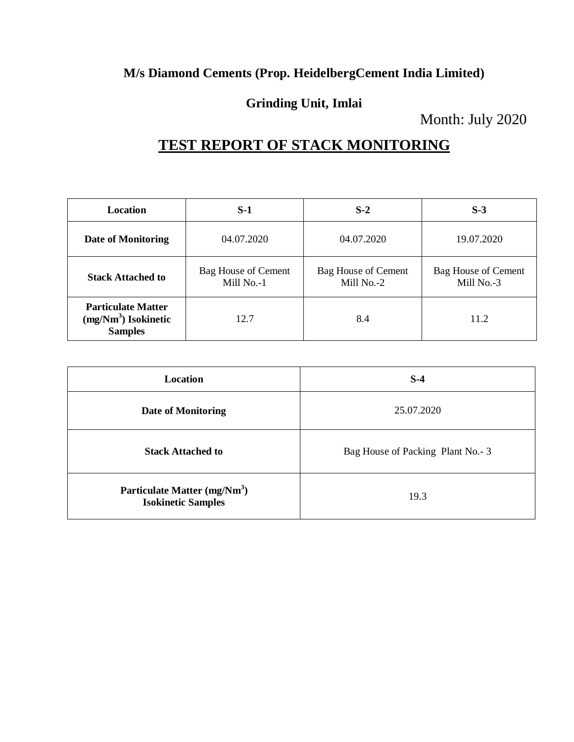#### **M/s Diamond Cements (Prop. HeidelbergCement India Limited)**

#### **Grinding Unit, Imlai**

Month: July 2020

## **TEST REPORT OF STACK MONITORING**

| <b>Location</b>                                                      | $S-1$                             | $S-2$                                    | $S-3$                                    |
|----------------------------------------------------------------------|-----------------------------------|------------------------------------------|------------------------------------------|
| <b>Date of Monitoring</b>                                            | 04.07.2020                        | 04.07.2020                               | 19.07.2020                               |
| <b>Stack Attached to</b>                                             | Bag House of Cement<br>Mill No.-1 | <b>Bag House of Cement</b><br>Mill No.-2 | <b>Bag House of Cement</b><br>Mill No.-3 |
| <b>Particulate Matter</b><br>$(mg/Nm3)$ Isokinetic<br><b>Samples</b> | 12.7                              | 8.4                                      | 11.2                                     |

| Location                                                              | $S-4$                            |
|-----------------------------------------------------------------------|----------------------------------|
| Date of Monitoring                                                    | 25.07.2020                       |
| <b>Stack Attached to</b>                                              | Bag House of Packing Plant No.-3 |
| Particulate Matter (mg/Nm <sup>3</sup> )<br><b>Isokinetic Samples</b> | 19.3                             |